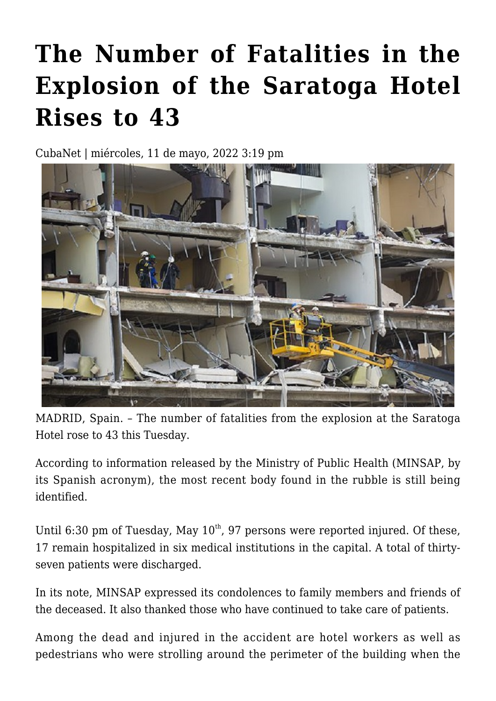## **[The Number of Fatalities in the](https://www.cubanet.org/english/the-number-of-fatalities-in-the-explosion-of-the-saratoga-hotel-rises-to-43/) [Explosion of the Saratoga Hotel](https://www.cubanet.org/english/the-number-of-fatalities-in-the-explosion-of-the-saratoga-hotel-rises-to-43/) [Rises to 43](https://www.cubanet.org/english/the-number-of-fatalities-in-the-explosion-of-the-saratoga-hotel-rises-to-43/)**

CubaNet | miércoles, 11 de mayo, 2022 3:19 pm



MADRID, Spain. – The number of fatalities from the explosion at the Saratoga Hotel rose to 43 this Tuesday.

According to information released by the Ministry of Public Health (MINSAP, by its Spanish acronym), the most recent body found in the rubble is still being identified.

Until 6:30 pm of Tuesday, May  $10^{th}$ , 97 persons were reported injured. Of these, 17 remain hospitalized in six medical institutions in the capital. A total of thirtyseven patients were discharged.

In its note, MINSAP expressed its condolences to family members and friends of the deceased. It also thanked those who have continued to take care of patients.

Among the dead and injured in the accident are hotel workers as well as pedestrians who were strolling around the perimeter of the building when the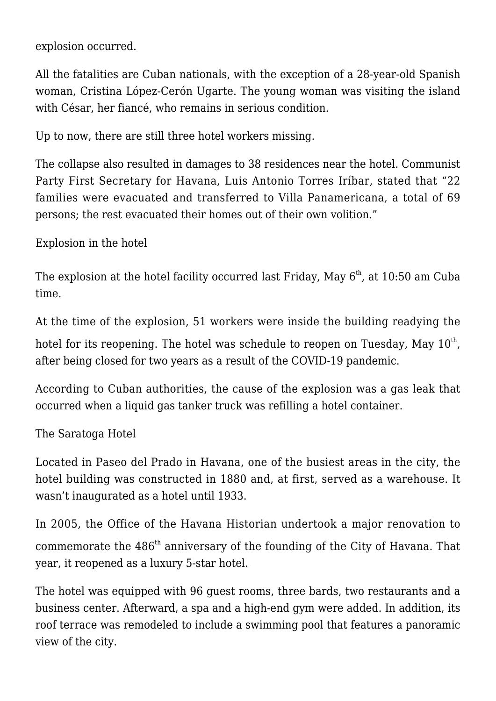explosion occurred.

All the fatalities are Cuban nationals, with the exception of a 28-year-old Spanish woman, Cristina López-Cerón Ugarte. The young woman was visiting the island with César, her fiancé, who remains in serious condition.

Up to now, there are still three hotel workers missing.

The collapse also resulted in damages to 38 residences near the hotel. Communist Party First Secretary for Havana, Luis Antonio Torres Iríbar, stated that "22 families were evacuated and transferred to Villa Panamericana, a total of 69 persons; the rest evacuated their homes out of their own volition."

Explosion in the hotel

The explosion at the hotel facility occurred last Friday, May  $6<sup>th</sup>$ , at 10:50 am Cuba time.

At the time of the explosion, 51 workers were inside the building readying the

hotel for its reopening. The hotel was schedule to reopen on Tuesday, May  $10^{\rm th}$ , after being closed for two years as a result of the COVID-19 pandemic.

According to Cuban authorities, the cause of the explosion was a gas leak that occurred when a liquid gas tanker truck was refilling a hotel container.

The Saratoga Hotel

Located in Paseo del Prado in Havana, one of the busiest areas in the city, the hotel building was constructed in 1880 and, at first, served as a warehouse. It wasn't inaugurated as a hotel until 1933.

In 2005, the Office of the Havana Historian undertook a major renovation to commemorate the 486<sup>th</sup> anniversary of the founding of the City of Havana. That year, it reopened as a luxury 5-star hotel.

The hotel was equipped with 96 guest rooms, three bards, two restaurants and a business center. Afterward, a spa and a high-end gym were added. In addition, its roof terrace was remodeled to include a swimming pool that features a panoramic view of the city.